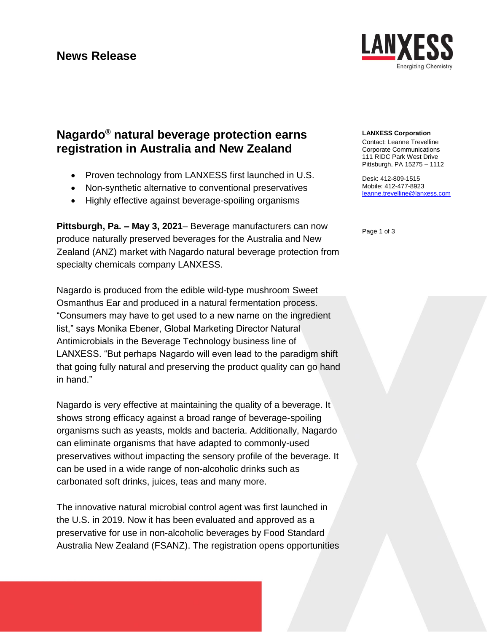

# **Nagardo® natural beverage protection earns registration in Australia and New Zealand**

- Proven technology from LANXESS first launched in U.S.
- Non-synthetic alternative to conventional preservatives
- Highly effective against beverage-spoiling organisms

**Pittsburgh, Pa. – May 3, 2021**– Beverage manufacturers can now produce naturally preserved beverages for the Australia and New Zealand (ANZ) market with Nagardo natural beverage protection from specialty chemicals company LANXESS.

Nagardo is produced from the edible wild-type mushroom Sweet Osmanthus Ear and produced in a natural fermentation process. "Consumers may have to get used to a new name on the ingredient list," says Monika Ebener, Global Marketing Director Natural Antimicrobials in the Beverage Technology business line of LANXESS. "But perhaps Nagardo will even lead to the paradigm shift that going fully natural and preserving the product quality can go hand in hand."

Nagardo is very effective at maintaining the quality of a beverage. It shows strong efficacy against a broad range of beverage-spoiling organisms such as yeasts, molds and bacteria. Additionally, Nagardo can eliminate organisms that have adapted to commonly-used preservatives without impacting the sensory profile of the beverage. It can be used in a wide range of non-alcoholic drinks such as carbonated soft drinks, juices, teas and many more.

The innovative natural microbial control agent was first launched in the U.S. in 2019. Now it has been evaluated and approved as a preservative for use in non-alcoholic beverages by Food Standard Australia New Zealand (FSANZ). The registration opens opportunities

### **LANXESS Corporation**

Contact: Leanne Trevelline Corporate Communications 111 RIDC Park West Drive Pittsburgh, PA 15275 – 1112

Desk: 412-809-1515 Mobile: 412-477-8923 [leanne.trevelline@lanxess.com](mailto:leanne.trevelline@lanxess.com)

Page 1 of 3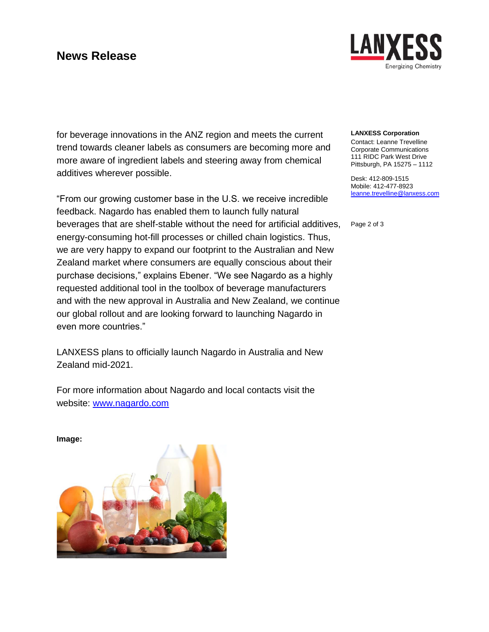# **News Release**



for beverage innovations in the ANZ region and meets the current trend towards cleaner labels as consumers are becoming more and more aware of ingredient labels and steering away from chemical additives wherever possible.

"From our growing customer base in the U.S. we receive incredible feedback. Nagardo has enabled them to launch fully natural beverages that are shelf-stable without the need for artificial additives, energy-consuming hot-fill processes or chilled chain logistics. Thus, we are very happy to expand our footprint to the Australian and New Zealand market where consumers are equally conscious about their purchase decisions," explains Ebener. "We see Nagardo as a highly requested additional tool in the toolbox of beverage manufacturers and with the new approval in Australia and New Zealand, we continue our global rollout and are looking forward to launching Nagardo in even more countries."

LANXESS plans to officially launch Nagardo in Australia and New Zealand mid-2021.

For more information about Nagardo and local contacts visit the website: [www.nagardo.com](http://www.nagardo.com/)

### **LANXESS Corporation**

Contact: Leanne Trevelline Corporate Communications 111 RIDC Park West Drive Pittsburgh, PA 15275 – 1112

Desk: 412-809-1515 Mobile: 412-477-8923 [leanne.trevelline@lanxess.com](mailto:leanne.trevelline@lanxess.com)

Page 2 of 3

**Image:**